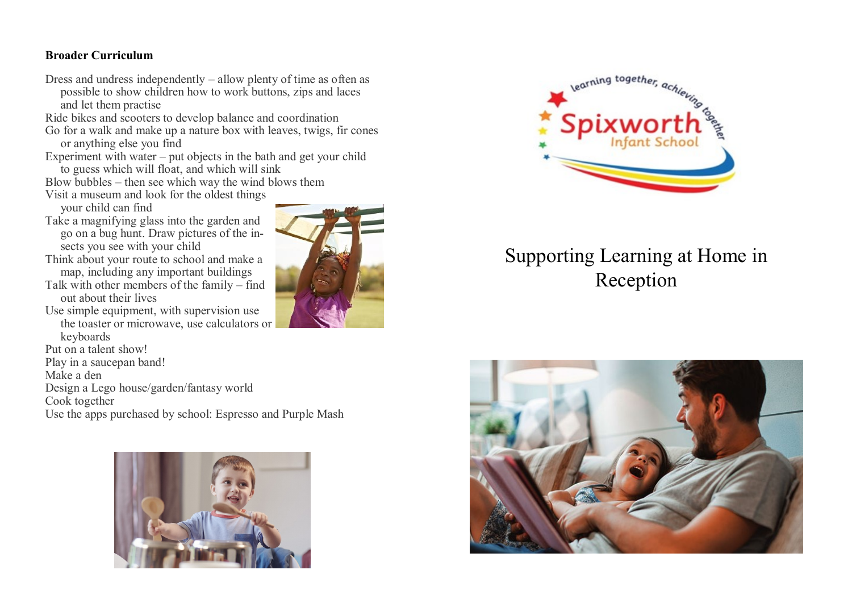#### **Broader Curriculum**

- Dress and undress independently allow plenty of time as often as possible to show children how to work buttons, zips and laces and let them practise
- Ride bikes and scooters to develop balance and coordination
- Go for a walk and make up a nature box with leaves, twigs, fir cones or anything else you find
- Experiment with water put objects in the bath and get your child to guess which will float, and which will sink
- Blow bubbles then see which way the wind blows them
- Visit a museum and look for the oldest things your child can find
- Take a magnifying glass into the garden and go on a bug hunt. Draw pictures of the insects you see with your child
- Think about your route to school and make a map, including any important buildings
- Talk with other members of the family find out about their lives
- Use simple equipment, with supervision use the toaster or microwave, use calculators or keyboards
- Put on a talent show!
- Play in a saucepan band!
- Make a den
- Design a Lego house/garden/fantasy world
- Cook together
- Use the apps purchased by school: Espresso and Purple Mash







# Supporting Learning at Home in Reception